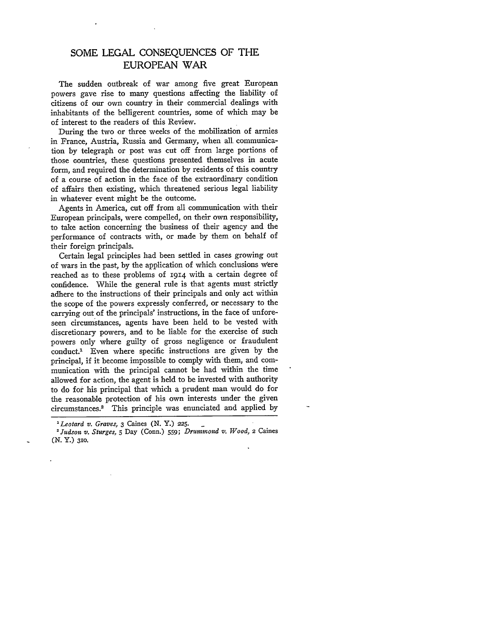## **SOME LEGAL CONSEQUENCES** OF THE **EUROPEAN** WAR

The sudden outbreak of war among five great European powers gave rise to many questions affecting the liability of citizens of our own country in their commercial dealings with inhabitants of the belligerent countries, some of which may be of interest to the readers of this Review.

During the two or three weeks of the mobilization of armies in France, Austria, Russia and Germany, when all communication **by** telegraph or post was cut off from large portions of those countries, these questions presented themselves in acute form, and required the determination **by** residents of this country of a course of action in the face of the extraordinary condition of affairs then existing, which threatened serious legal liability in whatever event might be the outcome.

Agents in America, cut off from all communication with their European principals, were compelled, on their own responsibility, to take action concerning the business of their agency and the performance of contracts with, or made **by** them on behalf of their foreign principals.

Certain legal principles had been settled in cases growing out of wars in the past, **by** the application of which conclusions were reached as to these problems of 1914 with a certain degree of confidence. While the general rule is that agents must strictly adhere to the instructions of their principals and only act within the scope of the powers expressly conferred, or necessary to the carrying out of the principals' instructions, in the face of unforeseen circumstances, agents have been held to be vested with discretionary powers, and to be liable for the exercise of such powers only where guilty of gross negligence or fraudulent conduct.' Even where specific instructions are given **by** the principal, if it become impossible to comply with them, and communication with the principal cannot be had within the time allowed for action, the agent is held to be invested with authority to do for his principal that which a prudent man would do for the reasonable protection of his own interests under the given circumstances. 2 This principle was enunciated and applied **by**

*'Judson v. Sturges, 5* Day (Conn.) *559; Druntnond v. Wood,* 2 Caines **(N.** Y.) **31o.**

*<sup>&#</sup>x27;Leotard v. Graves,* **3** Caines **(N.** Y.) **225.**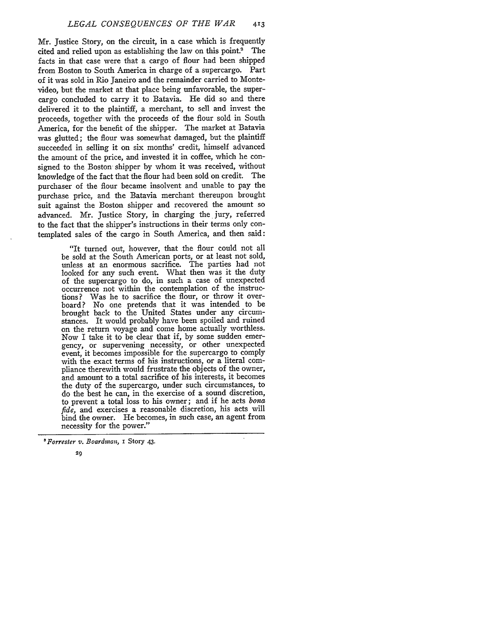Mr. Justice Story, on the circuit, in a case which is frequently cited and relied upon as establishing the law on this point.<sup>3</sup> The facts in that case were that a cargo of flour had been shipped from Boston to South America in charge of a supercargo. Part of it was sold in Rio Janeiro and the remainder carried to Montevideo, but the market at that place being unfavorable, the supercargo concluded to carry it to Batavia. He did so and there delivered it to the plaintiff, a merchant, to sell and invest the proceeds, together with the proceeds of the flour sold in South America, for the benefit of the shipper. The market at Batavia was glutted; the flour was somewhat damaged, but the plaintiff succeeded in selling it on six months' credit, himself advanced the amount of the price, and invested it in coffee, which he consigned to the Boston shipper by whom it was received, without knowledge of the fact that the flour had been sold on credit. The purchaser of the flour became insolvent and unable to pay the purchase price, and the Batavia merchant thereupon brought suit against the Boston shipper and recovered the amount so advanced. Mr. Justice Story, in charging the jury, referred to the fact that the shipper's instructions in their terms only contemplated sales of the cargo in South America, and then said:

> "It turned out, however, that the flour could not all be sold at the South American ports, or at least not sold, unless at an enormous sacrifice. The parties had not looked for any such event. What then was it the duty of the supercargo to do, in such a case of unexpected occurrence not within the contemplation of the instructions? Was he to sacrifice the flour, or throw it overboard? No one pretends that it was intended to be brought back to the United States under any circumstances. It would probably have been spoiled and ruined on the return voyage and come home actually worthless. Now I take it to be clear that if, by some sudden emergency, or supervening necessity, or other unexpected event, it becomes impossible for the supercargo to comply with the exact terms of his instructions, or a literal compliance therewith would frustrate the objects of the owner, and amount to a total sacrifice of his interests, it becomes the duty of the supercargo, under such circumstances, to do the best he can, in the exercise of a sound discretion, to prevent a total loss to his owner; and if he acts *bona fide,* and exercises a reasonable discretion, his acts will bind the owner. He becomes, in such case, an agent from necessity for the power."

*<sup>&#</sup>x27;Forrester v. Boardnzan,* I Story *43.*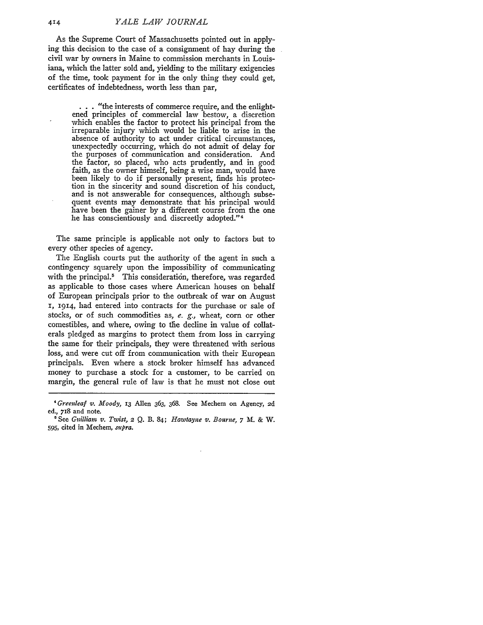As the Supreme Court of Massachusetts pointed out in applying this decision to the case of a consignment of hay during the civil war by owners in Maine to commission merchants in Louisiana, which the latter sold and, yielding to the military exigencies of the time, took payment for in the only thing they could get, certificates of indebtedness, worth less than par,

> **- . .** "the interests of commerce require, and the enlight- ened principles of commercial law bestow, a discretion which enables the factor to protect his principal from the irreparable injury which would be liable to arise in the absence of authority to act under critical circumstances, unexpectedly occurring, which do not admit of delay for the purposes of communication and consideration. And the factor, so placed, who acts prudently, and in good faith, as the owner himself, being a wise man, would have been likely to do if personally present, finds his protection in the sincerity and sound discretion of his conduct, and is not answerable for consequences, although subsequent events may demonstrate that his principal would have been the gainer by a different course from the one he has conscientiously and discreetly adopted."<sup>4</sup>

The same principle is applicable not only to factors but to every other species of agency.

The English courts put the authority of the agent in such a contingency squarely upon the impossibility of communicating with the principal.<sup>5</sup> This consideration, therefore, was regarded as applicable to those cases where American houses on behalf of European principals prior to the outbreak of war on August **I,** 1914, had entered into contracts for the purchase or sale of stocks, or of such commodities as, e. *g.,* wheat, corn or other comestibles, and where, owing to tie decline in value of collaterals pledged as margins to protect them from loss in carrying the same for their principals, they were threatened with serious loss, and were cut off from communication with their European principals. Even where a stock broker himself has advanced money to purchase a stock for a customer, to be carried on margin, the general rule of law is that he must not close out

414

*<sup>&</sup>quot;Greenleaf v. Moody,* 13 Allen 363, **368.** See Mechem on Agency, 2d ed., 718 and note.

<sup>&#</sup>x27;See *Guilliam v. Twist,* 2 **Q.** B. 84; *Hawtayne v. Bourne,* **7** M. & W. 595, cited in Mechem, *supra.*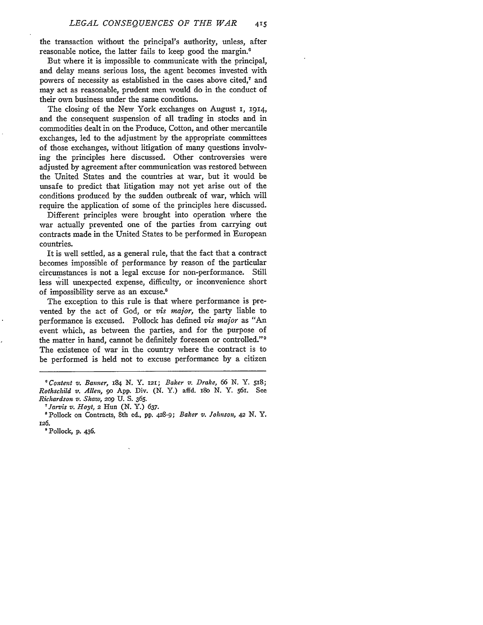the transaction without the principal's authority, unless, after reasonable notice, the latter fails to keep good the margin.'

But where it is impossible to communicate with the principal, and delay means serious loss, the agent becomes invested with powers of necessity as established in the cases above cited,<sup>7</sup> and may act as reasonable, prudent men would do in the conduct of their own business under the same conditions.

The closing of the New York exchanges on August 1, 1914, and the consequent suspension of all trading in stocks and in commodities dealt in on the Produce, Cotton, and other mercantile exchanges, led to the adjustment by the appropriate committees of those exchanges, without litigation of many questions involving the principles here discussed. Other controversies were adjusted by agreement after communication was restored between the United States and the countries at war, but it would be unsafe to predict that litigation may not yet arise out of the conditions produced by the sudden outbreak of war, which will require the application of some of the principles here discussed.

Different principles were brought into operation where the war actually prevented one of the parties from carrying out contracts made in the United States to be performed in European countries.

It is well settled, as a general rule, that the fact that a contract becomes impossible of performance by reason of the particular circumstances is not a legal excuse for non-performance. Still less will unexpected expense, difficulty, or inconvenience short of impossibility serve as an excuse.<sup>8</sup>

The exception to this rule is that where performance is prevented by the act of God, or *vis major,* the party liable to performance is excused. Pollock has defined *vis major* as "An event which, as between the parties, and for the purpose of the matter in hand, cannot be definitely foreseen or controlled." The existence of war in the country where the contract is to be performed is held not to excuse performance by a citizen

*Content v. Banner,* 184 *N.* Y. **121;** *Baker v. Drake, 66 N. Y.* 518; *Rothschild v. Allen,* go App. Div. (N. Y.) affd. i8o N. Y. 561. See *Richardson v. Shaw,* **2o9 U. S.** 365.

*<sup>&#</sup>x27;Jarvis v. Hoyt,* 2 Hun **(N.** Y.) *637.*

**<sup>8</sup>**Pollock on Contracts, 8th ed., pp. 428-g; *Baker v. Johnson,* 42 N. Y. **126.**

<sup>&</sup>quot;Pollock, p. 436.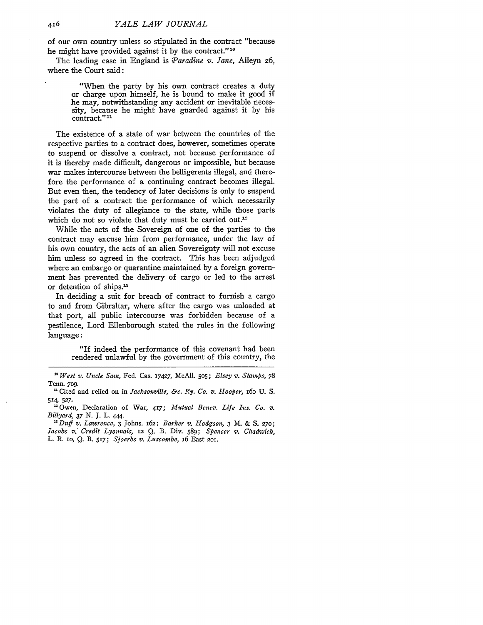of our own country unless so stipulated in the contract "because he might have provided against it by the contract."<sup>10</sup>

The leading case in England is *'Paradine v. Jane,* Alleyn *26,* where the Court said:

> "When the party by his own contract creates a duty or charge upon himself, he is bound to make it good if he may, notwithstanding any accident or inevitable necessity, because he might have guarded against it by his contract." **11**

The existence of a state of war between the countries of the respective parties to a contract does, however, sometimes operate to suspend or dissolve a contract, not because performance of it is thereby made difficult, dangerous or impossible, but because war makes intercourse between the belligerents illegal, and therefore the performance of a continuing contract becomes illegal. But even then, the tendency of later decisions is only to suspend the part of a contract the performance of which necessarily violates the duty of allegiance to the state, while those parts which do not so violate that duty must be carried out.<sup>12</sup>

While the acts of the Sovereign of one of the parties to the contract may excuse him from performance, under the law of his own country, the acts of an alien Sovereignty will not excuse him unless so agreed in the contract. This has been adjudged where an embargo or quarantine maintained by a foreign government has prevented the delivery of cargo or led to the arrest or detention of ships."3

In deciding a suit for breach of contract to furnish a cargo to and from Gibraltar, where after the cargo was unloaded at that port, all public intercourse was forbidden because of a pestilence, Lord Ellenborough stated the rules in the following language:

> "If indeed the performance of this covenant had been rendered unlawful by the government of this country, the

*West v. Uncle Sam,* Fed. Cas. 17427, McAll. **505;** *Elsey v. Stamps, 78* Tenn. **709.**

<sup>&#</sup>x27;Cited and relied on in *Jacksonville, &c. Ry. Co. v. Hooper, i6o* U. S. 514, **527.**

<sup>&#</sup>x27;Owen, Declaration of War, 417; *Mutual Benev. Life Ins. Co. v. Billyard, 37 N.* **J.** L. *444.*

*<sup>&</sup>quot;Duff v. Lawrence,* **3** Johns. 162; *Barker v. Hodgson,* **3** M. & **S. 270;** *Jacobs* v.' *Credit Lyonnais,* 12 *Q.* B. Div. **589;** *Spencer v. Chadwick,* L. R. **I0,** Q. B. **517;** *Sjoerbs v. Luscontbe,* 16 East 2Ol.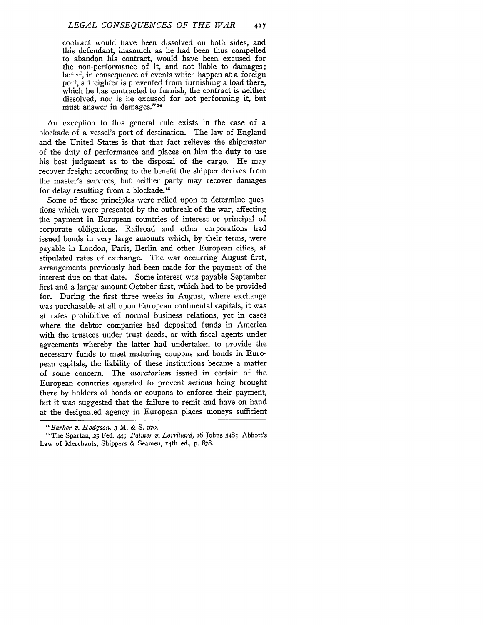contract would have been dissolved on both sides, and this defendant, inasmuch as he had been thus compelled to abandon his contract, would have been excused for the non-performance of it, and not liable to damages but if, in consequence of events which happen at a foreign port, a freighter is prevented from furnishing a load there, which he has contracted to furnish, the contract is neither dissolved, nor is he excused for not performing it, but must answer in damages."<sup>14</sup>

An exception to this general rule exists in the case of a blockade of a vessel's port of destination. The law of England and the United States is that that fact relieves the shipmaster of the duty of performance and places on him the duty to use his best judgment as to the disposal of the cargo. He may recover freight according to the benefit the shipper derives from the master's services, but neither party may recover damages for delay resulting from a blockade.<sup>15</sup>

Some of these principles were relied upon to determine questions which were presented by the outbreak of the war, affecting the payment in European countries of interest or principal of corporate obligations. Railroad and other corporations had issued bonds in very large amounts which, by their terms, were payable in London, Paris, Berlin and other European cities, at stipulated rates of exchange. The war occurring August first, arrangements previously had been made for the payment of the interest due on that date. Some interest was payable September first and a larger amount October first, which had to be provided for. During the first three weeks in August, where exchange was purchasable at all upon European continental capitals, it was at rates prohibitive of normal business relations, yet in cases where the debtor companies had deposited funds in America with the trustees under trust deeds, or with fiscal agents under agreements whereby the latter had undertaken to provide the necessary funds to meet maturing coupons and bonds in European capitals, the liability of these institutions became a matter of some concern. The *moratorium* issued in certain of the European countries operated to prevent actions being brought there by holders of bonds or coupons to enforce their payment, but it was suggested that the failure to remit and have on hand at the designated agency in European places moneys sufficient

*<sup>1</sup> Barker v. Hodgson,* **3** M. & **S. 270.**

<sup>&</sup>lt;sup>15</sup> The Spartan, 25 Fed. 44; Palmer v. Lorrillard, 16 Johns 348; Abbott's Law of Merchants, Shippers & Seamen, I4th ed., p. **878.**